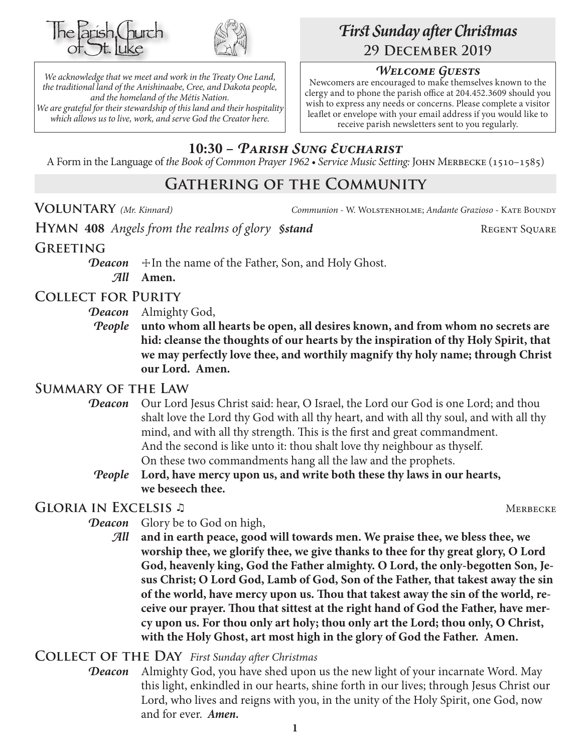



*We acknowledge that we meet and work in the Treaty One Land, the traditional land of the Anishinaabe, Cree, and Dakota people, and the homeland of the Métis Nation. We are grateful for their stewardship of this land and their hospitality which allows us to live, work, and serve God the Creator here.*

# *First Sunday after Christmas* **29 December 2019**

### *Welcome Guests*

Newcomers are encouraged to make themselves known to the clergy and to phone the parish office at 204.452.3609 should you wish to express any needs or concerns. Please complete a visitor leaflet or envelope with your email address if you would like to receive parish newsletters sent to you regularly.

# **10:30 –** *Parish Sung Eucharist*

A Form in the Language of *the Book of Common Prayer 1962 • Service Music Setting:* John Merbecke (1510–1585)

# **Gathering of the Community**

**Voluntary** *(Mr. Kinnard) Communion -* W. Wolstenholme; *Andante Grazioso* - Kate Boundy

**HYMN** 408 *Angels from the realms of glory Sstand* REGENT SQUARE

### **Greeting**

**Deacon**  $\pm$ In the name of the Father, Son, and Holy Ghost. *All* **Amen.**

### **Collect for Purity**

- *Deacon* Almighty God,
- *People* **unto whom all hearts be open, all desires known, and from whom no secrets are hid: cleanse the thoughts of our hearts by the inspiration of thy Holy Spirit, that we may perfectly love thee, and worthily magnify thy holy name; through Christ our Lord. Amen.**

# **Summary of the Law**

- **Deacon** Our Lord Jesus Christ said: hear, O Israel, the Lord our God is one Lord; and thou shalt love the Lord thy God with all thy heart, and with all thy soul, and with all thy mind, and with all thy strength. This is the first and great commandment. And the second is like unto it: thou shalt love thy neighbour as thyself. On these two commandments hang all the law and the prophets.
	- *People* **Lord, have mercy upon us, and write both these thy laws in our hearts, we beseech thee.**

# **Gloria in Excelsis** ♫ Merbecke

- **Deacon** Glory be to God on high,
	- *All* **and in earth peace, good will towards men. We praise thee, we bless thee, we worship thee, we glorify thee, we give thanks to thee for thy great glory, O Lord God, heavenly king, God the Father almighty. O Lord, the only-begotten Son, Jesus Christ; O Lord God, Lamb of God, Son of the Father, that takest away the sin of the world, have mercy upon us. Thou that takest away the sin of the world, receive our prayer. Thou that sittest at the right hand of God the Father, have mercy upon us. For thou only art holy; thou only art the Lord; thou only, O Christ, with the Holy Ghost, art most high in the glory of God the Father. Amen.**

#### **Collect of the Day** *First Sunday after Christmas*

*Deacon* Almighty God, you have shed upon us the new light of your incarnate Word. May this light, enkindled in our hearts, shine forth in our lives; through Jesus Christ our Lord, who lives and reigns with you, in the unity of the Holy Spirit, one God, now and for ever.*Amen.*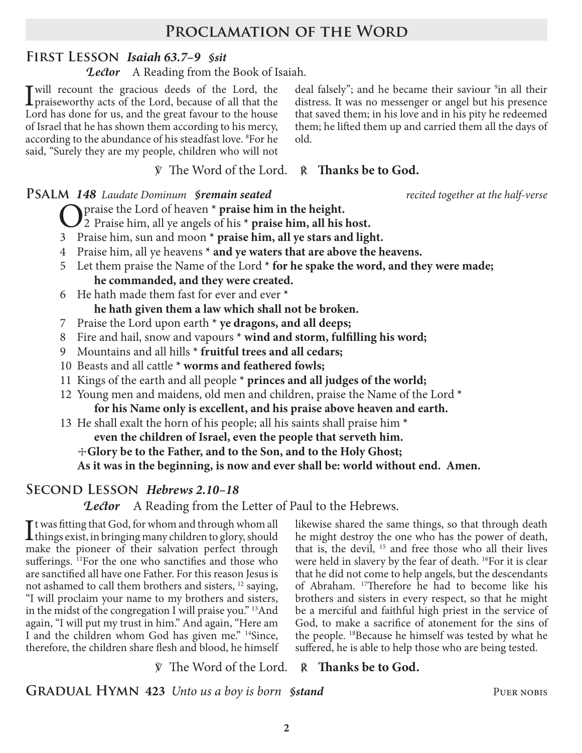# **Proclamation of the Word**

### **First Lesson** *Isaiah 63.7–9 §sit*

*Lector* A Reading from the Book of Isaiah.

I will recount the gracious deeds of the Lord, the praiseworthy acts of the Lord, because of all that the Lord, because  $\frac{1}{2}$  and her dance for the proof for the local state. Lord has done for us, and the great favour to the house of Israel that he has shown them according to his mercy, according to the abundance of his steadfast love. <sup>8</sup>For he said, "Surely they are my people, children who will not

deal falsely"; and he became their saviour <sup>9</sup>in all their distress. It was no messenger or angel but his presence that saved them; in his love and in his pity he redeemed them; he lifted them up and carried them all the days of old.

℣ The Word of the Lord. ℟ **Thanks be to God.**

#### **Psalm** *148 Laudate Dominum §remain seated recited together at the half-verse*

**O** praise the Lord of heaven **\*** praise him in the height.

2 Praise him, all ye angels of his **\* praise him, all his host.**

- 3 Praise him, sun and moon **\* praise him, all ye stars and light.**
- 4 Praise him, all ye heavens **\* and ye waters that are above the heavens.**
- 5 Let them praise the Name of the Lord **\* for he spake the word, and they were made; he commanded, and they were created.**
- 6 He hath made them fast for ever and ever **\* he hath given them a law which shall not be broken.**
- 7 Praise the Lord upon earth **\* ye dragons, and all deeps;**
- 8 Fire and hail, snow and vapours **\* wind and storm, fulfilling his word;**
- 9 Mountains and all hills **\* fruitful trees and all cedars;**
- 10 Beasts and all cattle **\* worms and feathered fowls;**
- 11 Kings of the earth and all people **\* princes and all judges of the world;**
- 12 Young men and maidens, old men and children, praise the Name of the Lord **\* for his Name only is excellent, and his praise above heaven and earth.**
- 13 He shall exalt the horn of his people; all his saints shall praise him **\***
	- **even the children of Israel, even the people that serveth him.**
	- ☩**Glory be to the Father, and to the Son, and to the Holy Ghost;**

**As it was in the beginning, is now and ever shall be: world without end. Amen.**

# **Second Lesson** *Hebrews 2.10–18*

*Lector* A Reading from the Letter of Paul to the Hebrews.

It was fitting that God, for whom and through whom all<br>things exist, in bringing many children to glory, should<br>make the pierces of their celestian perfect through things exist, in bringing many children to glory, should make the pioneer of their salvation perfect through sufferings. <sup>11</sup>For the one who sanctifies and those who are sanctified all have one Father. For this reason Jesus is not ashamed to call them brothers and sisters, 12 saying, "I will proclaim your name to my brothers and sisters, in the midst of the congregation I will praise you." 13And again, "I will put my trust in him." And again, "Here am I and the children whom God has given me." 14Since, therefore, the children share flesh and blood, he himself

likewise shared the same things, so that through death he might destroy the one who has the power of death, that is, the devil, 15 and free those who all their lives were held in slavery by the fear of death. <sup>16</sup>For it is clear that he did not come to help angels, but the descendants of Abraham. 17Therefore he had to become like his brothers and sisters in every respect, so that he might be a merciful and faithful high priest in the service of God, to make a sacrifice of atonement for the sins of the people. 18Because he himself was tested by what he suffered, he is able to help those who are being tested.

# ℣ The Word of the Lord. ℟ **Thanks be to God.**

**GRADUAL HYMN 423** *Unto us a boy is born §stand* PUER NOBIS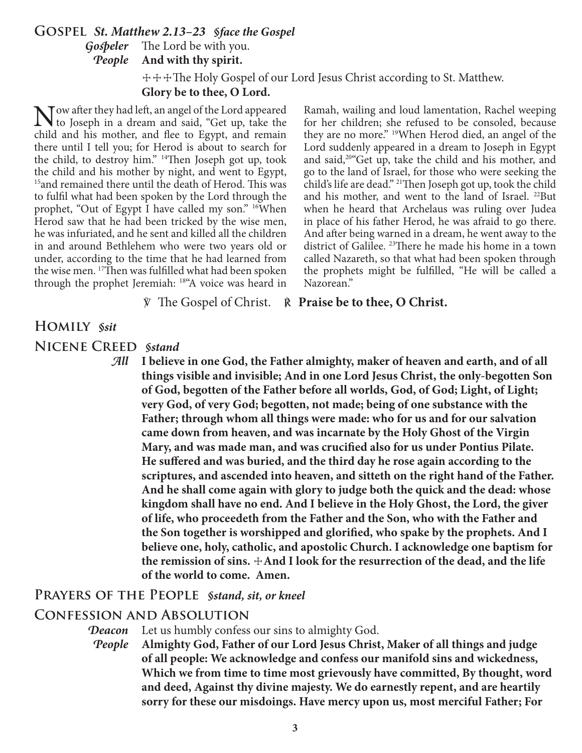### **Gospel** *St. Matthew 2.13–23 §face the Gospel Gospeler* The Lord be with you. *People* **And with thy spirit.**

 ☩☩☩The Holy Gospel of our Lord Jesus Christ according to St. Matthew. **Glory be to thee, O Lord.**

Now after they had left, an angel of the Lord appeared<br>to Joseph in a dream and said, "Get up, take the<br>child and his mother, and flee to Fourt, and remain child and his mother, and flee to Egypt, and remain there until I tell you; for Herod is about to search for the child, to destroy him." 14Then Joseph got up, took the child and his mother by night, and went to Egypt, <sup>15</sup>and remained there until the death of Herod. This was to fulfil what had been spoken by the Lord through the prophet, "Out of Egypt I have called my son." <sup>16</sup>When Herod saw that he had been tricked by the wise men, he was infuriated, and he sent and killed all the children in and around Bethlehem who were two years old or under, according to the time that he had learned from the wise men. <sup>17</sup>Then was fulfilled what had been spoken through the prophet Jeremiah: 18"A voice was heard in

Ramah, wailing and loud lamentation, Rachel weeping for her children; she refused to be consoled, because they are no more." 19When Herod died, an angel of the Lord suddenly appeared in a dream to Joseph in Egypt and said,20"Get up, take the child and his mother, and go to the land of Israel, for those who were seeking the child's life are dead." 21Then Joseph got up, took the child and his mother, and went to the land of Israel. 22But when he heard that Archelaus was ruling over Judea in place of his father Herod, he was afraid to go there. And after being warned in a dream, he went away to the district of Galilee. 23There he made his home in a town called Nazareth, so that what had been spoken through the prophets might be fulfilled, "He will be called a Nazorean."

℣ The Gospel of Christ. ℟ **Praise be to thee, O Christ.**

# **Homily** *§sit*

**Nicene Creed** *§stand*

*All* **I believe in one God, the Father almighty, maker of heaven and earth, and of all things visible and invisible; And in one Lord Jesus Christ, the only-begotten Son of God, begotten of the Father before all worlds, God, of God; Light, of Light; very God, of very God; begotten, not made; being of one substance with the Father; through whom all things were made: who for us and for our salvation came down from heaven, and was incarnate by the Holy Ghost of the Virgin Mary, and was made man, and was crucified also for us under Pontius Pilate. He suffered and was buried, and the third day he rose again according to the scriptures, and ascended into heaven, and sitteth on the right hand of the Father. And he shall come again with glory to judge both the quick and the dead: whose kingdom shall have no end. And I believe in the Holy Ghost, the Lord, the giver of life, who proceedeth from the Father and the Son, who with the Father and the Son together is worshipped and glorified, who spake by the prophets. And I believe one, holy, catholic, and apostolic Church. I acknowledge one baptism for the remission of sins.** ☩**And I look for the resurrection of the dead, and the life of the world to come. Amen.**

#### **Prayers of the People** *§stand, sit, or kneel*

#### **Confession and Absolution**

*Deacon* Let us humbly confess our sins to almighty God.

*People* **Almighty God, Father of our Lord Jesus Christ, Maker of all things and judge of all people: We acknowledge and confess our manifold sins and wickedness, Which we from time to time most grievously have committed, By thought, word and deed, Against thy divine majesty. We do earnestly repent, and are heartily sorry for these our misdoings. Have mercy upon us, most merciful Father; For**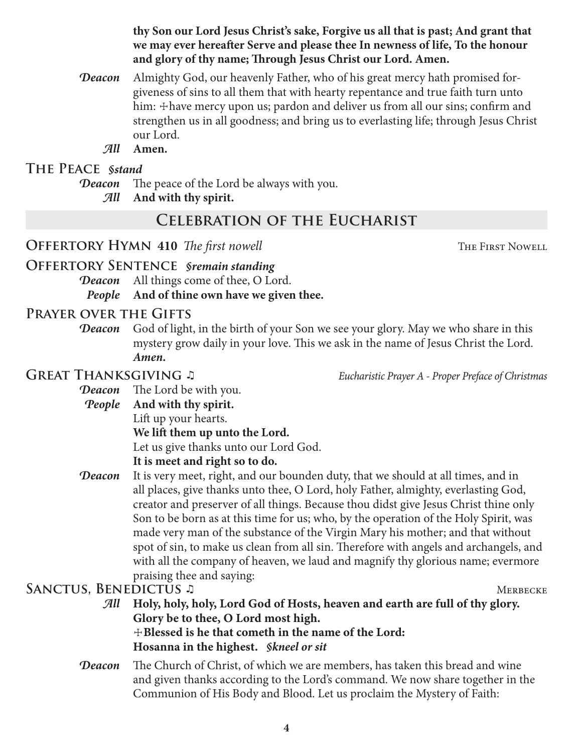**thy Son our Lord Jesus Christ's sake, Forgive us all that is past; And grant that we may ever hereafter Serve and please thee In newness of life, To the honour and glory of thy name; Through Jesus Christ our Lord. Amen.**

- *Deacon* Almighty God, our heavenly Father, who of his great mercy hath promised forgiveness of sins to all them that with hearty repentance and true faith turn unto him:  $\pm$  have mercy upon us; pardon and deliver us from all our sins; confirm and strengthen us in all goodness; and bring us to everlasting life; through Jesus Christ our Lord.
	- *All* **Amen.**

# **The Peace** *§stand*

*Deacon* The peace of the Lord be always with you.

*All* **And with thy spirit.**

# **Celebration of the Eucharist**

# **OFFERTORY HYMN 410** *The first nowell* The **The First Nowell The First Nowell**

**Offertory Sentence** *§remain standing*

*Deacon* All things come of thee, O Lord.

*People* **And of thine own have we given thee.**

# **Prayer over the Gifts**

**Deacon** God of light, in the birth of your Son we see your glory. May we who share in this mystery grow daily in your love. This we ask in the name of Jesus Christ the Lord. *Amen.*

**Great Thanksgiving** ♫ *Eucharistic Prayer A - Proper Preface of Christmas*

- *Deacon* The Lord be with you. *People* **And with thy spirit.**
	- Lift up your hearts.

# **We lift them up unto the Lord.**

Let us give thanks unto our Lord God.

# **It is meet and right so to do.**

**Deacon** It is very meet, right, and our bounden duty, that we should at all times, and in all places, give thanks unto thee, O Lord, holy Father, almighty, everlasting God, creator and preserver of all things. Because thou didst give Jesus Christ thine only Son to be born as at this time for us; who, by the operation of the Holy Spirit, was made very man of the substance of the Virgin Mary his mother; and that without spot of sin, to make us clean from all sin. Therefore with angels and archangels, and with all the company of heaven, we laud and magnify thy glorious name; evermore praising thee and saying:

# **Sanctus, Benedictus** ♫ Merbecke

*All* **Holy, holy, holy, Lord God of Hosts, heaven and earth are full of thy glory. Glory be to thee, O Lord most high.** ☩**Blessed is he that cometh in the name of the Lord:**

**Hosanna in the highest.** *§kneel or sit*

*Deacon* The Church of Christ, of which we are members, has taken this bread and wine and given thanks according to the Lord's command. We now share together in the Communion of His Body and Blood. Let us proclaim the Mystery of Faith: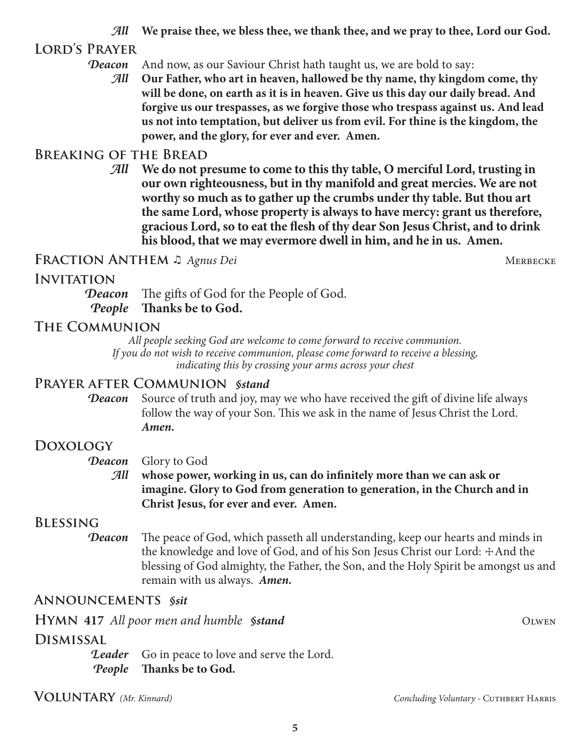*All* **We praise thee, we bless thee, we thank thee, and we pray to thee, Lord our God.**

# **Lord's Prayer**

### **Deacon** And now, as our Saviour Christ hath taught us, we are bold to say:

*All* **Our Father, who art in heaven, hallowed be thy name, thy kingdom come, thy will be done, on earth as it is in heaven. Give us this day our daily bread. And forgive us our trespasses, as we forgive those who trespass against us. And lead us not into temptation, but deliver us from evil. For thine is the kingdom, the power, and the glory, for ever and ever. Amen.**

# **Breaking of the Bread**

*All* **We do not presume to come to this thy table, O merciful Lord, trusting in our own righteousness, but in thy manifold and great mercies. We are not worthy so much as to gather up the crumbs under thy table. But thou art the same Lord, whose property is always to have mercy: grant us therefore, gracious Lord, so to eat the flesh of thy dear Son Jesus Christ, and to drink his blood, that we may evermore dwell in him, and he in us. Amen.**

# **Fraction Anthem** ♫*Agnus Dei* Merbecke

# **Invitation**

*Deacon* The gifts of God for the People of God. *People* **Thanks be to God.**

# **The Communion**

*All people seeking God are welcome to come forward to receive communion. If you do not wish to receive communion, please come forward to receive a blessing, indicating this by crossing your arms across your chest*

# **Prayer after Communion** *§stand*

*Deacon* Source of truth and joy, may we who have received the gift of divine life always follow the way of your Son. This we ask in the name of Jesus Christ the Lord. *Amen.*

# **Doxology**

*Deacon* Glory to God

*All* **whose power, working in us, can do infinitely more than we can ask or imagine. Glory to God from generation to generation, in the Church and in Christ Jesus, for ever and ever. Amen.**

# **Blessing**

*Deacon* The peace of God, which passeth all understanding, keep our hearts and minds in the knowledge and love of God, and of his Son Jesus Christ our Lord:  $\pm$ And the blessing of God almighty, the Father, the Son, and the Holy Spirit be amongst us and remain with us always. *Amen.*

# **Announcements** *§sit*

**HYMN** 417 *All poor men and humble <i>Sstand* **OLWEN** 

# **Dismissal**

**Leader** Go in peace to love and serve the Lord. *People* **Thanks be to God.**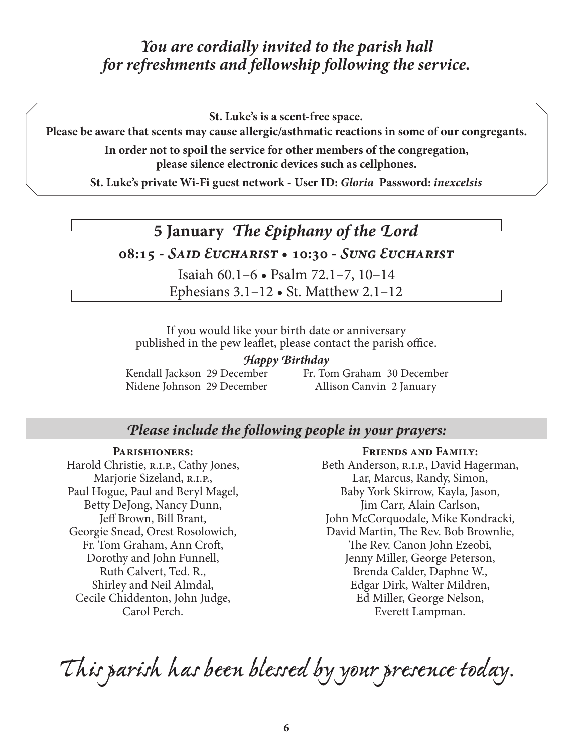# *You are cordially invited to the parish hall for refreshments and fellowship following the service.*

**St. Luke's is a scent-free space.**

**Please be aware that scents may cause allergic/asthmatic reactions in some of our congregants.**

**In order not to spoil the service for other members of the congregation, please silence electronic devices such as cellphones.**

**St. Luke's private Wi-Fi guest network - User ID:** *Gloria* **Password:** *inexcelsis*

# **5 January** *The Epiphany of the Lord*

**08:15 -** *Said Eucharist* **• 10:30 -** *Sung Eucharist*

Isaiah 60.1–6 • Psalm 72.1–7, 10–14 Ephesians 3.1–12 • St. Matthew 2.1–12

If you would like your birth date or anniversary published in the pew leaflet, please contact the parish office.

#### *Happy Birthday*

Kendall Jackson 29 December Nidene Johnson 29 December

Fr. Tom Graham 30 December Allison Canvin 2 January

# *Please include the following people in your prayers:*

#### **Parishioners:**

Harold Christie, R.I.P., Cathy Jones, Marjorie Sizeland, R.I.P., Paul Hogue, Paul and Beryl Magel, Betty DeJong, Nancy Dunn, Jeff Brown, Bill Brant, Georgie Snead, Orest Rosolowich, Fr. Tom Graham, Ann Croft, Dorothy and John Funnell, Ruth Calvert, Ted. R., Shirley and Neil Almdal, Cecile Chiddenton, John Judge, Carol Perch.

#### **Friends and Family:**

Beth Anderson, R.I.P., David Hagerman, Lar, Marcus, Randy, Simon, Baby York Skirrow, Kayla, Jason, Jim Carr, Alain Carlson, John McCorquodale, Mike Kondracki, David Martin, The Rev. Bob Brownlie, The Rev. Canon John Ezeobi, Jenny Miller, George Peterson, Brenda Calder, Daphne W., Edgar Dirk, Walter Mildren, Ed Miller, George Nelson, Everett Lampman.

*This parish has been blessed by your presence today.*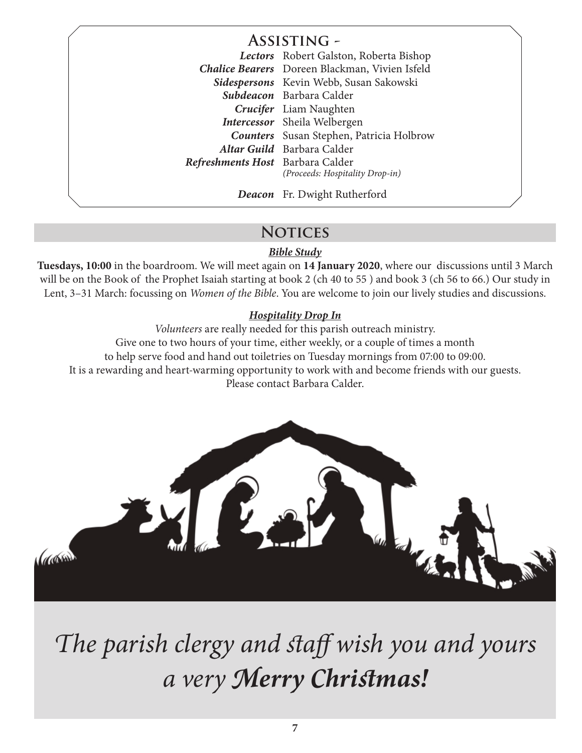**Assisting -**

*Lectors* Robert Galston, Roberta Bishop *Chalice Bearers* Doreen Blackman, Vivien Isfeld *Sidespersons* Kevin Webb, Susan Sakowski *Subdeacon* Barbara Calder *Crucifer* Liam Naughten *Intercessor* Sheila Welbergen *Counters* Susan Stephen, Patricia Holbrow *Altar Guild* Barbara Calder *Refreshments Host* Barbara Calder *(Proceeds: Hospitality Drop-in)*

*Deacon* Fr. Dwight Rutherford

# **Notices**

#### *Bible Study*

**Tuesdays, 10:00** in the boardroom. We will meet again on **14 January 2020**, where our discussions until 3 March will be on the Book of the Prophet Isaiah starting at book 2 (ch 40 to 55 ) and book 3 (ch 56 to 66.) Our study in Lent, 3–31 March: focussing on *Women of the Bible*. You are welcome to join our lively studies and discussions.

# *Hospitality Drop In*

*Volunteers* are really needed for this parish outreach ministry. Give one to two hours of your time, either weekly, or a couple of times a month to help serve food and hand out toiletries on Tuesday mornings from 07:00 to 09:00. It is a rewarding and heart-warming opportunity to work with and become friends with our guests. Please contact Barbara Calder.



*The parish clergy and staff wish you and yours a very Merry Christmas!*